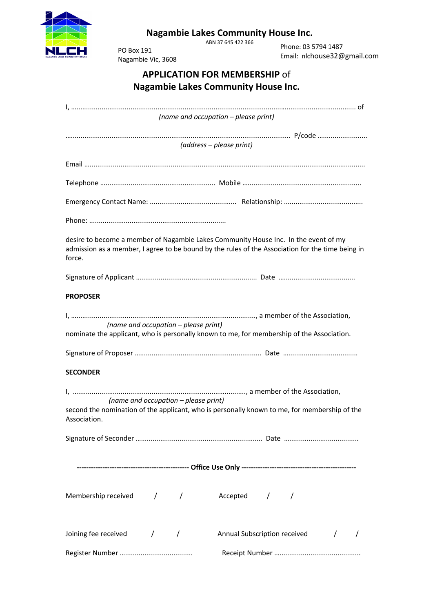

## **Nagambie Lakes Community House Inc.**

ABN 37 645 422 366

PO Box 191 Nagambie Vic, 3608

Phone: 03 5794 1487 Email: nlchouse32@gmail.com

| <b>APPLICATION FOR MEMBERSHIP of</b>       |
|--------------------------------------------|
| <b>Nagambie Lakes Community House Inc.</b> |

|                                                                                               | (name and occupation - please print)                                                             |
|-----------------------------------------------------------------------------------------------|--------------------------------------------------------------------------------------------------|
|                                                                                               |                                                                                                  |
|                                                                                               | (address - please print)                                                                         |
|                                                                                               |                                                                                                  |
|                                                                                               |                                                                                                  |
|                                                                                               |                                                                                                  |
|                                                                                               |                                                                                                  |
|                                                                                               |                                                                                                  |
| desire to become a member of Nagambie Lakes Community House Inc. In the event of my<br>force. | admission as a member, I agree to be bound by the rules of the Association for the time being in |
|                                                                                               |                                                                                                  |
| <b>PROPOSER</b>                                                                               |                                                                                                  |
| (name and occupation - please print)                                                          |                                                                                                  |
| nominate the applicant, who is personally known to me, for membership of the Association.     |                                                                                                  |
|                                                                                               |                                                                                                  |
| <b>SECONDER</b>                                                                               |                                                                                                  |
| (name and occupation – please print)                                                          |                                                                                                  |
| Association.                                                                                  | second the nomination of the applicant, who is personally known to me, for membership of the     |
|                                                                                               |                                                                                                  |
|                                                                                               |                                                                                                  |
|                                                                                               |                                                                                                  |
|                                                                                               |                                                                                                  |
| Membership received / / / Accepted / /                                                        |                                                                                                  |
| Joining fee received / /                                                                      | Annual Subscription received /                                                                   |
|                                                                                               |                                                                                                  |